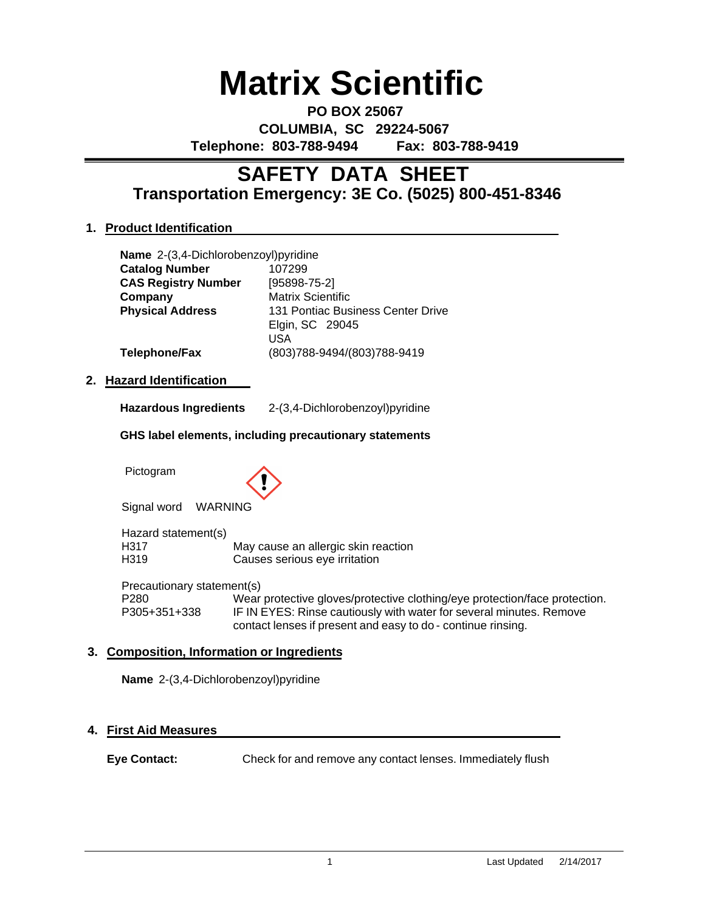# **Matrix Scientific**

**PO BOX 25067 COLUMBIA, SC 29224-5067 Telephone: 803-788-9494 Fax: 803-788-9419**

# **Transportation Emergency: 3E Co. (5025) 800-451-8346 SAFETY DATA SHEET**

# **1. Product Identification**

|                                                        | Name 2-(3,4-Dichlorobenzoyl)pyridine |                                                                                                                                                   |  |  |  |  |
|--------------------------------------------------------|--------------------------------------|---------------------------------------------------------------------------------------------------------------------------------------------------|--|--|--|--|
|                                                        | <b>Catalog Number</b>                | 107299                                                                                                                                            |  |  |  |  |
|                                                        | <b>CAS Registry Number</b>           | $[95898-75-2]$                                                                                                                                    |  |  |  |  |
|                                                        | Company                              | <b>Matrix Scientific</b>                                                                                                                          |  |  |  |  |
|                                                        | <b>Physical Address</b>              | 131 Pontiac Business Center Drive                                                                                                                 |  |  |  |  |
|                                                        |                                      | Elgin, SC 29045                                                                                                                                   |  |  |  |  |
|                                                        |                                      | <b>USA</b>                                                                                                                                        |  |  |  |  |
|                                                        | <b>Telephone/Fax</b>                 | (803)788-9494/(803)788-9419                                                                                                                       |  |  |  |  |
| <b>Hazard Identification</b><br>$2_{-}$                |                                      |                                                                                                                                                   |  |  |  |  |
|                                                        |                                      |                                                                                                                                                   |  |  |  |  |
|                                                        | <b>Hazardous Ingredients</b>         | 2-(3,4-Dichlorobenzoyl)pyridine                                                                                                                   |  |  |  |  |
| GHS label elements, including precautionary statements |                                      |                                                                                                                                                   |  |  |  |  |
|                                                        | Pictogram                            |                                                                                                                                                   |  |  |  |  |
|                                                        | Signal word<br><b>WARNING</b>        |                                                                                                                                                   |  |  |  |  |
|                                                        | Hazard statement(s)                  |                                                                                                                                                   |  |  |  |  |
|                                                        | H317                                 | May cause an allergic skin reaction                                                                                                               |  |  |  |  |
|                                                        | H319                                 | Causes serious eye irritation                                                                                                                     |  |  |  |  |
|                                                        | Precautionary statement(s)           |                                                                                                                                                   |  |  |  |  |
|                                                        | P <sub>280</sub><br>P305+351+338     | Wear protective gloves/protective clothing/eye protection/face protection.<br>IF IN EYES: Rinse cautiously with water for several minutes. Remove |  |  |  |  |
|                                                        |                                      | contact lenses if present and easy to do - continue rinsing.                                                                                      |  |  |  |  |

# **3. Composition, Information or Ingredients**

**Name** 2-(3,4-Dichlorobenzoyl)pyridine

# **4. First Aid Measures**

**Eye Contact:** Check for and remove any contact lenses. Immediately flush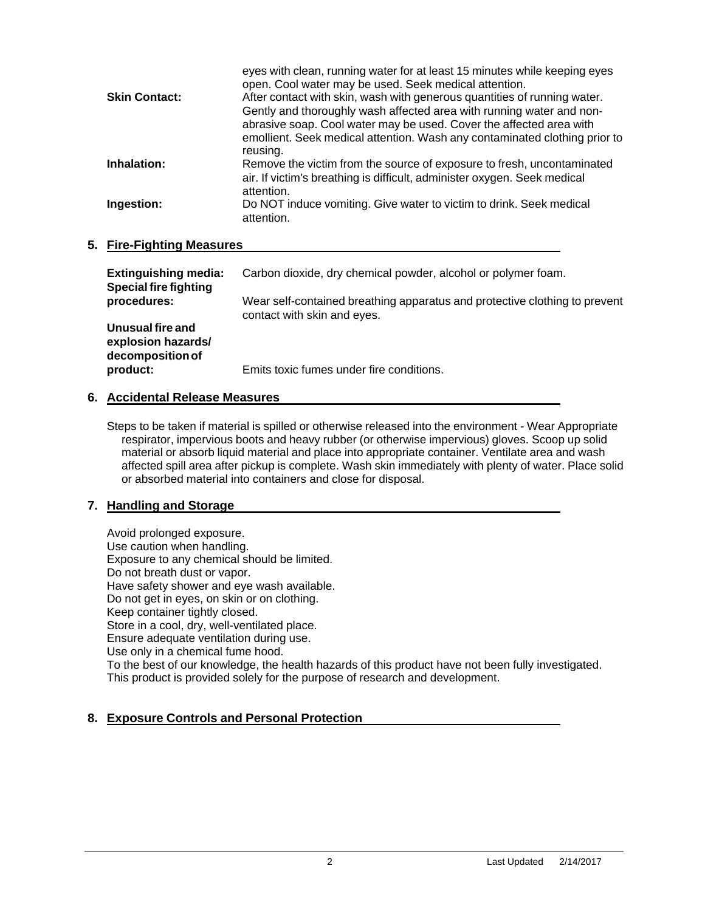|                      | eyes with clean, running water for at least 15 minutes while keeping eyes<br>open. Cool water may be used. Seek medical attention. |
|----------------------|------------------------------------------------------------------------------------------------------------------------------------|
| <b>Skin Contact:</b> | After contact with skin, wash with generous quantities of running water.                                                           |
|                      | Gently and thoroughly wash affected area with running water and non-                                                               |
|                      | abrasive soap. Cool water may be used. Cover the affected area with                                                                |
|                      | emollient. Seek medical attention. Wash any contaminated clothing prior to                                                         |
|                      | reusing.                                                                                                                           |
| Inhalation:          | Remove the victim from the source of exposure to fresh, uncontaminated                                                             |
|                      | air. If victim's breathing is difficult, administer oxygen. Seek medical                                                           |
|                      | attention.                                                                                                                         |
| Ingestion:           | Do NOT induce vomiting. Give water to victim to drink. Seek medical                                                                |
|                      | attention.                                                                                                                         |
|                      |                                                                                                                                    |

#### **5. Fire-Fighting Measures**

| <b>Extinguishing media:</b><br><b>Special fire fighting</b> | Carbon dioxide, dry chemical powder, alcohol or polymer foam.                                             |
|-------------------------------------------------------------|-----------------------------------------------------------------------------------------------------------|
| procedures:                                                 | Wear self-contained breathing apparatus and protective clothing to prevent<br>contact with skin and eyes. |
| Unusual fire and<br>explosion hazards/<br>decomposition of  |                                                                                                           |
| product:                                                    | Emits toxic fumes under fire conditions.                                                                  |

## **6. Accidental Release Measures**

Steps to be taken if material is spilled or otherwise released into the environment - Wear Appropriate respirator, impervious boots and heavy rubber (or otherwise impervious) gloves. Scoop up solid material or absorb liquid material and place into appropriate container. Ventilate area and wash affected spill area after pickup is complete. Wash skin immediately with plenty of water. Place solid or absorbed material into containers and close for disposal.

## **7. Handling and Storage**

Avoid prolonged exposure. Use caution when handling. Exposure to any chemical should be limited. Do not breath dust or vapor. Have safety shower and eye wash available. Do not get in eyes, on skin or on clothing. Keep container tightly closed. Store in a cool, dry, well-ventilated place. Ensure adequate ventilation during use. Use only in a chemical fume hood. To the best of our knowledge, the health hazards of this product have not been fully investigated. This product is provided solely for the purpose of research and development.

## **8. Exposure Controls and Personal Protection**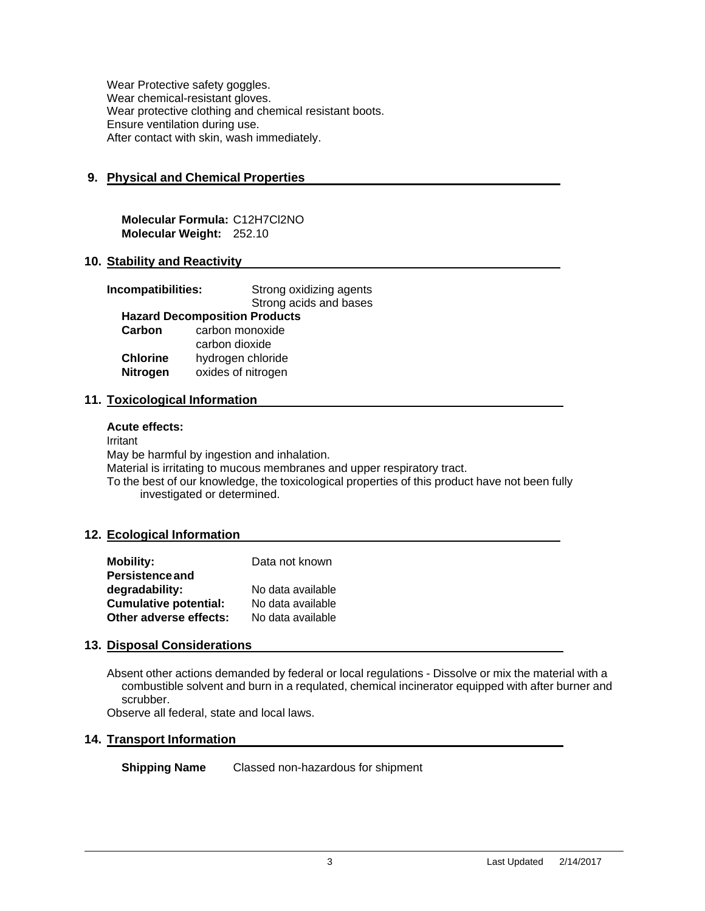Wear Protective safety goggles. Wear chemical-resistant gloves. Wear protective clothing and chemical resistant boots. Ensure ventilation during use. After contact with skin, wash immediately.

# **9. Physical and Chemical Properties**

**Molecular Formula:** C12H7Cl2NO **Molecular Weight:** 252.10

#### **10. Stability and Reactivity**

| Incompatibilities:                   | Strong oxidizing agents |  |  |  |
|--------------------------------------|-------------------------|--|--|--|
|                                      | Strong acids and bases  |  |  |  |
| <b>Hazard Decomposition Products</b> |                         |  |  |  |
| Carbon                               | carbon monoxide         |  |  |  |
|                                      | carbon dioxide          |  |  |  |
| <b>Chlorine</b>                      | hydrogen chloride       |  |  |  |
| <b>Nitrogen</b>                      | oxides of nitrogen      |  |  |  |
|                                      |                         |  |  |  |

#### **11. Toxicological Information**

#### **Acute effects:**

Irritant

May be harmful by ingestion and inhalation.

Material is irritating to mucous membranes and upper respiratory tract.

To the best of our knowledge, the toxicological properties of this product have not been fully investigated or determined.

#### **12. Ecological Information**

| <b>Mobility:</b>             | Data not known    |
|------------------------------|-------------------|
| <b>Persistence and</b>       |                   |
| degradability:               | No data available |
| <b>Cumulative potential:</b> | No data available |
| Other adverse effects:       | No data available |

#### **13. Disposal Considerations**

Absent other actions demanded by federal or local regulations - Dissolve or mix the material with a combustible solvent and burn in a requlated, chemical incinerator equipped with after burner and scrubber.

Observe all federal, state and local laws.

## **14. Transport Information**

**Shipping Name** Classed non-hazardous for shipment